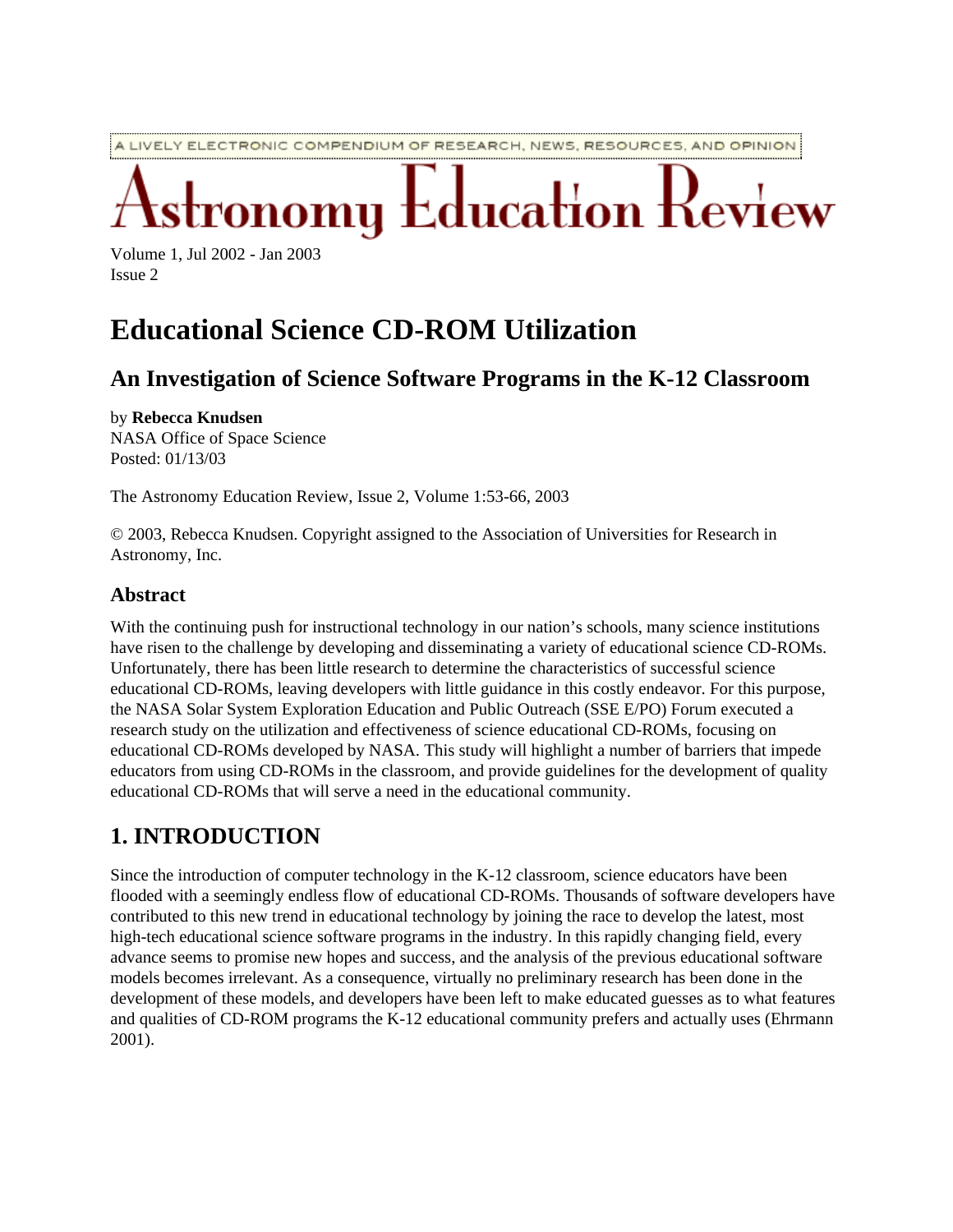A LIVELY ELECTRONIC COMPENDIUM OF RESEARCH, NEWS, RESOURCES, AND OPINION

# **Education Review** omų

Volume 1, Jul 2002 - Jan 2003 Issue 2

## **Educational Science CD-ROM Utilization**

## **An Investigation of Science Software Programs in the K-12 Classroom**

by **Rebecca Knudsen** NASA Office of Space Science Posted: 01/13/03

The Astronomy Education Review, Issue 2, Volume 1:53-66, 2003

© 2003, Rebecca Knudsen. Copyright assigned to the Association of Universities for Research in Astronomy, Inc.

#### **Abstract**

With the continuing push for instructional technology in our nation's schools, many science institutions have risen to the challenge by developing and disseminating a variety of educational science CD-ROMs. Unfortunately, there has been little research to determine the characteristics of successful science educational CD-ROMs, leaving developers with little guidance in this costly endeavor. For this purpose, the NASA Solar System Exploration Education and Public Outreach (SSE E/PO) Forum executed a research study on the utilization and effectiveness of science educational CD-ROMs, focusing on educational CD-ROMs developed by NASA. This study will highlight a number of barriers that impede educators from using CD-ROMs in the classroom, and provide guidelines for the development of quality educational CD-ROMs that will serve a need in the educational community.

## **1. INTRODUCTION**

Since the introduction of computer technology in the K-12 classroom, science educators have been flooded with a seemingly endless flow of educational CD-ROMs. Thousands of software developers have contributed to this new trend in educational technology by joining the race to develop the latest, most high-tech educational science software programs in the industry. In this rapidly changing field, every advance seems to promise new hopes and success, and the analysis of the previous educational software models becomes irrelevant. As a consequence, virtually no preliminary research has been done in the development of these models, and developers have been left to make educated guesses as to what features and qualities of CD-ROM programs the K-12 educational community prefers and actually uses (Ehrmann 2001).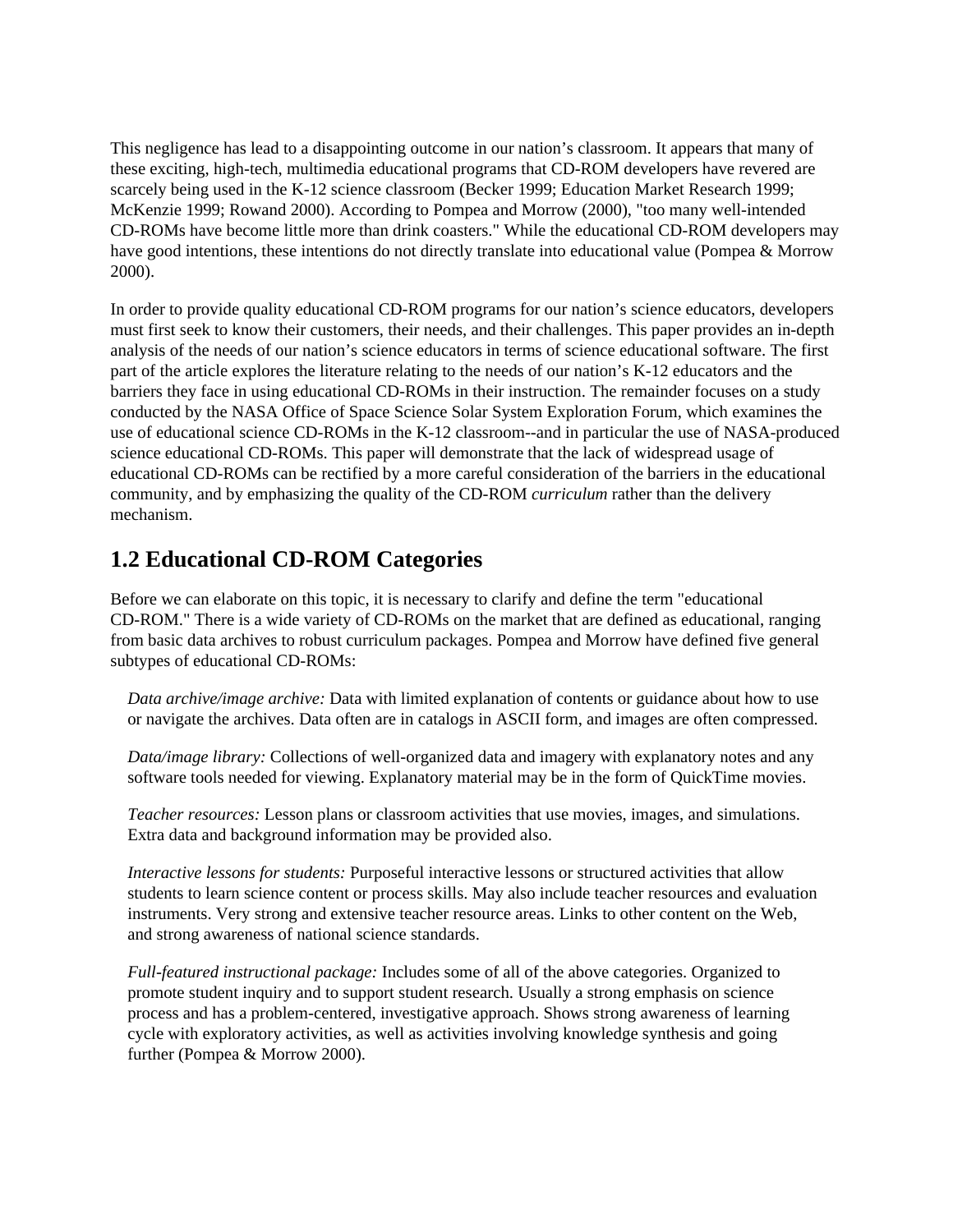This negligence has lead to a disappointing outcome in our nation's classroom. It appears that many of these exciting, high-tech, multimedia educational programs that CD-ROM developers have revered are scarcely being used in the K-12 science classroom (Becker 1999; Education Market Research 1999; McKenzie 1999; Rowand 2000). According to Pompea and Morrow (2000), "too many well-intended CD-ROMs have become little more than drink coasters." While the educational CD-ROM developers may have good intentions, these intentions do not directly translate into educational value (Pompea & Morrow 2000).

In order to provide quality educational CD-ROM programs for our nation's science educators, developers must first seek to know their customers, their needs, and their challenges. This paper provides an in-depth analysis of the needs of our nation's science educators in terms of science educational software. The first part of the article explores the literature relating to the needs of our nation's K-12 educators and the barriers they face in using educational CD-ROMs in their instruction. The remainder focuses on a study conducted by the NASA Office of Space Science Solar System Exploration Forum, which examines the use of educational science CD-ROMs in the K-12 classroom--and in particular the use of NASA-produced science educational CD-ROMs. This paper will demonstrate that the lack of widespread usage of educational CD-ROMs can be rectified by a more careful consideration of the barriers in the educational community, and by emphasizing the quality of the CD-ROM *curriculum* rather than the delivery mechanism.

## **1.2 Educational CD-ROM Categories**

Before we can elaborate on this topic, it is necessary to clarify and define the term "educational CD-ROM." There is a wide variety of CD-ROMs on the market that are defined as educational, ranging from basic data archives to robust curriculum packages. Pompea and Morrow have defined five general subtypes of educational CD-ROMs:

*Data archive/image archive:* Data with limited explanation of contents or guidance about how to use or navigate the archives. Data often are in catalogs in ASCII form, and images are often compressed.

*Data/image library:* Collections of well-organized data and imagery with explanatory notes and any software tools needed for viewing. Explanatory material may be in the form of QuickTime movies.

*Teacher resources:* Lesson plans or classroom activities that use movies, images, and simulations. Extra data and background information may be provided also.

*Interactive lessons for students:* Purposeful interactive lessons or structured activities that allow students to learn science content or process skills. May also include teacher resources and evaluation instruments. Very strong and extensive teacher resource areas. Links to other content on the Web, and strong awareness of national science standards.

*Full-featured instructional package:* Includes some of all of the above categories. Organized to promote student inquiry and to support student research. Usually a strong emphasis on science process and has a problem-centered, investigative approach. Shows strong awareness of learning cycle with exploratory activities, as well as activities involving knowledge synthesis and going further (Pompea & Morrow 2000).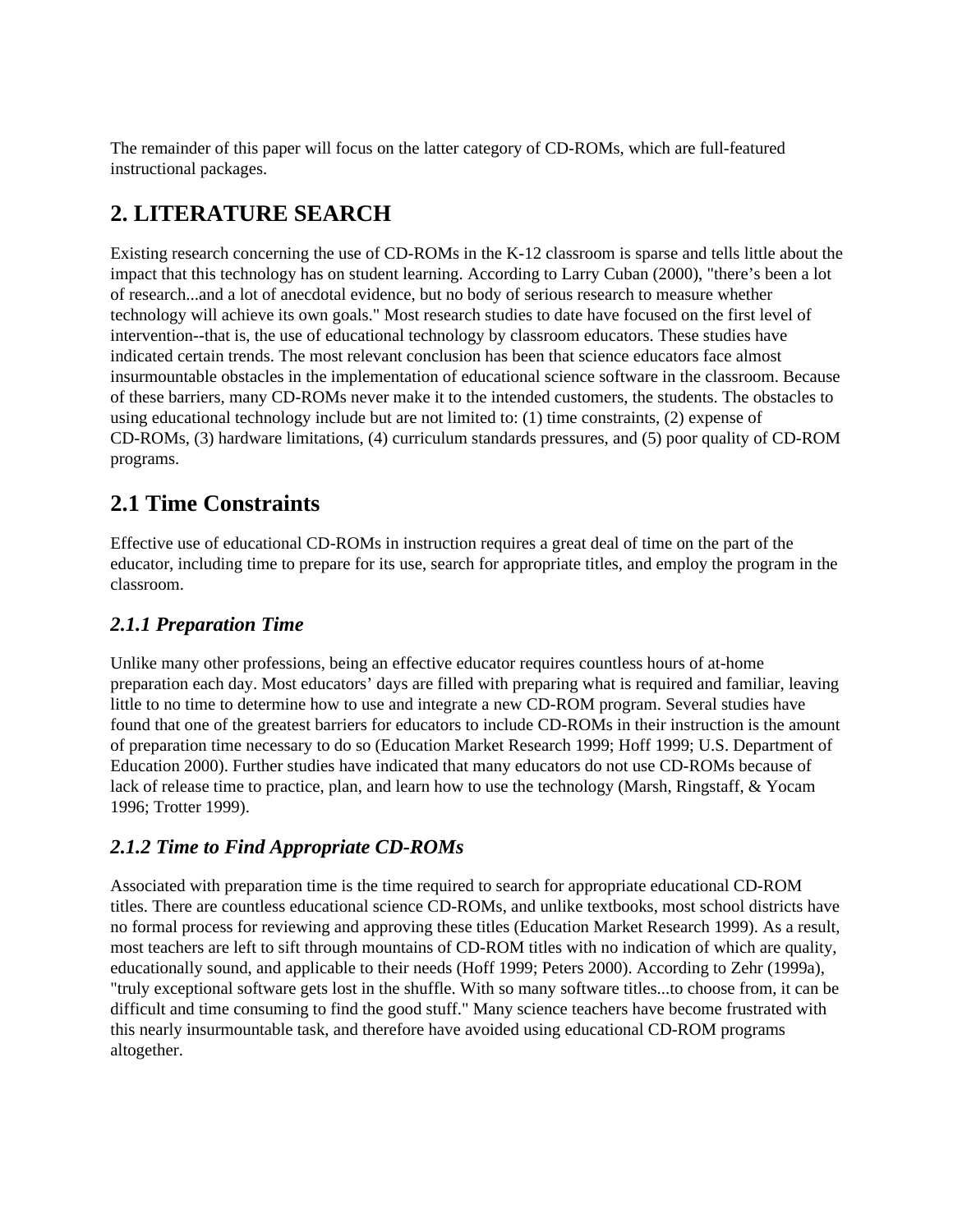The remainder of this paper will focus on the latter category of CD-ROMs, which are full-featured instructional packages.

## **2. LITERATURE SEARCH**

Existing research concerning the use of CD-ROMs in the K-12 classroom is sparse and tells little about the impact that this technology has on student learning. According to Larry Cuban (2000), "there's been a lot of research...and a lot of anecdotal evidence, but no body of serious research to measure whether technology will achieve its own goals." Most research studies to date have focused on the first level of intervention--that is, the use of educational technology by classroom educators. These studies have indicated certain trends. The most relevant conclusion has been that science educators face almost insurmountable obstacles in the implementation of educational science software in the classroom. Because of these barriers, many CD-ROMs never make it to the intended customers, the students. The obstacles to using educational technology include but are not limited to: (1) time constraints, (2) expense of CD-ROMs, (3) hardware limitations, (4) curriculum standards pressures, and (5) poor quality of CD-ROM programs.

## **2.1 Time Constraints**

Effective use of educational CD-ROMs in instruction requires a great deal of time on the part of the educator, including time to prepare for its use, search for appropriate titles, and employ the program in the classroom.

#### *2.1.1 Preparation Time*

Unlike many other professions, being an effective educator requires countless hours of at-home preparation each day. Most educators' days are filled with preparing what is required and familiar, leaving little to no time to determine how to use and integrate a new CD-ROM program. Several studies have found that one of the greatest barriers for educators to include CD-ROMs in their instruction is the amount of preparation time necessary to do so (Education Market Research 1999; Hoff 1999; U.S. Department of Education 2000). Further studies have indicated that many educators do not use CD-ROMs because of lack of release time to practice, plan, and learn how to use the technology (Marsh, Ringstaff, & Yocam 1996; Trotter 1999).

#### *2.1.2 Time to Find Appropriate CD-ROMs*

Associated with preparation time is the time required to search for appropriate educational CD-ROM titles. There are countless educational science CD-ROMs, and unlike textbooks, most school districts have no formal process for reviewing and approving these titles (Education Market Research 1999). As a result, most teachers are left to sift through mountains of CD-ROM titles with no indication of which are quality, educationally sound, and applicable to their needs (Hoff 1999; Peters 2000). According to Zehr (1999a), "truly exceptional software gets lost in the shuffle. With so many software titles...to choose from, it can be difficult and time consuming to find the good stuff." Many science teachers have become frustrated with this nearly insurmountable task, and therefore have avoided using educational CD-ROM programs altogether.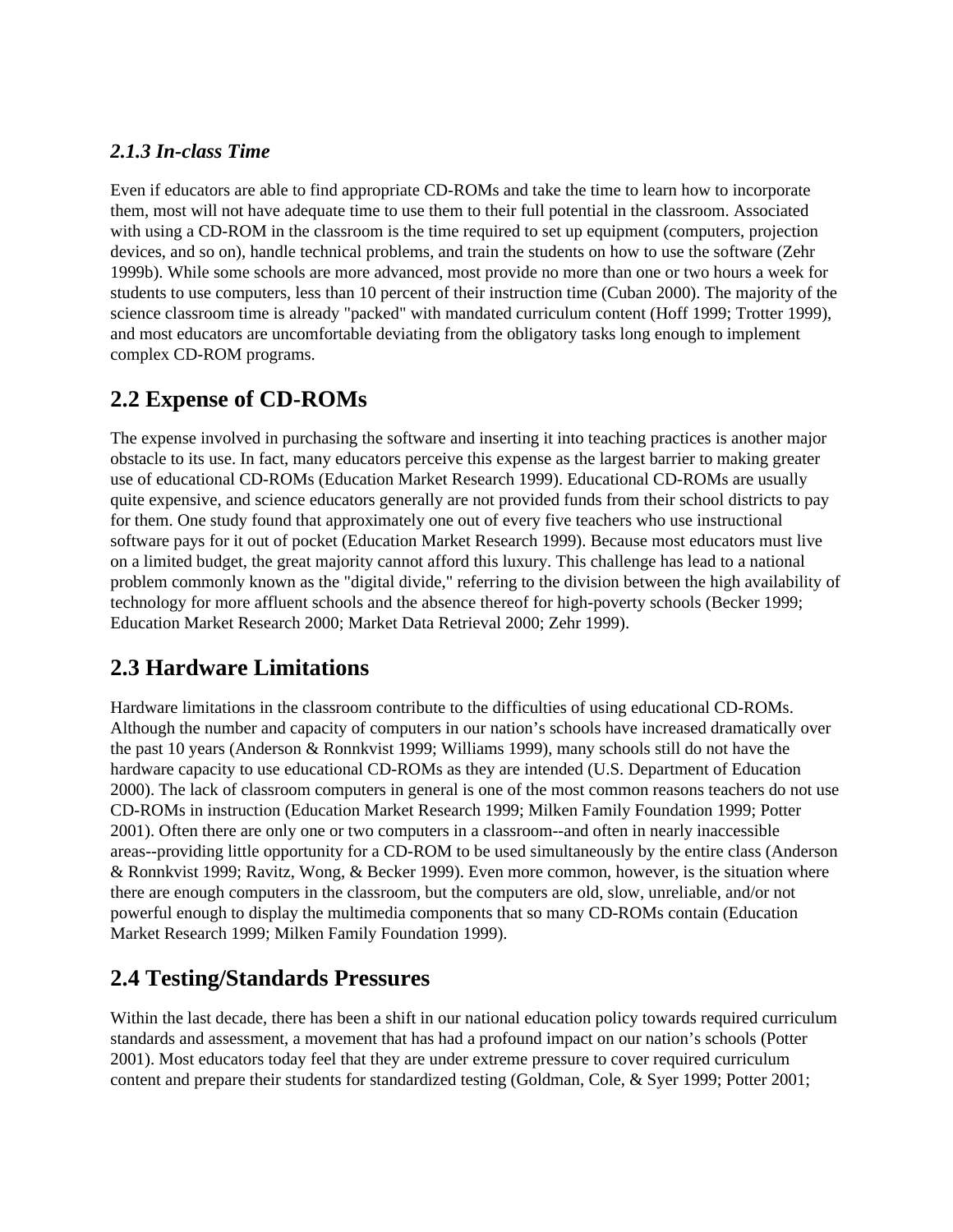#### *2.1.3 In-class Time*

Even if educators are able to find appropriate CD-ROMs and take the time to learn how to incorporate them, most will not have adequate time to use them to their full potential in the classroom. Associated with using a CD-ROM in the classroom is the time required to set up equipment (computers, projection devices, and so on), handle technical problems, and train the students on how to use the software (Zehr 1999b). While some schools are more advanced, most provide no more than one or two hours a week for students to use computers, less than 10 percent of their instruction time (Cuban 2000). The majority of the science classroom time is already "packed" with mandated curriculum content (Hoff 1999; Trotter 1999), and most educators are uncomfortable deviating from the obligatory tasks long enough to implement complex CD-ROM programs.

## **2.2 Expense of CD-ROMs**

The expense involved in purchasing the software and inserting it into teaching practices is another major obstacle to its use. In fact, many educators perceive this expense as the largest barrier to making greater use of educational CD-ROMs (Education Market Research 1999). Educational CD-ROMs are usually quite expensive, and science educators generally are not provided funds from their school districts to pay for them. One study found that approximately one out of every five teachers who use instructional software pays for it out of pocket (Education Market Research 1999). Because most educators must live on a limited budget, the great majority cannot afford this luxury. This challenge has lead to a national problem commonly known as the "digital divide," referring to the division between the high availability of technology for more affluent schools and the absence thereof for high-poverty schools (Becker 1999; Education Market Research 2000; Market Data Retrieval 2000; Zehr 1999).

## **2.3 Hardware Limitations**

Hardware limitations in the classroom contribute to the difficulties of using educational CD-ROMs. Although the number and capacity of computers in our nation's schools have increased dramatically over the past 10 years (Anderson & Ronnkvist 1999; Williams 1999), many schools still do not have the hardware capacity to use educational CD-ROMs as they are intended (U.S. Department of Education 2000). The lack of classroom computers in general is one of the most common reasons teachers do not use CD-ROMs in instruction (Education Market Research 1999; Milken Family Foundation 1999; Potter 2001). Often there are only one or two computers in a classroom--and often in nearly inaccessible areas--providing little opportunity for a CD-ROM to be used simultaneously by the entire class (Anderson & Ronnkvist 1999; Ravitz, Wong, & Becker 1999). Even more common, however, is the situation where there are enough computers in the classroom, but the computers are old, slow, unreliable, and/or not powerful enough to display the multimedia components that so many CD-ROMs contain (Education Market Research 1999; Milken Family Foundation 1999).

## **2.4 Testing/Standards Pressures**

Within the last decade, there has been a shift in our national education policy towards required curriculum standards and assessment, a movement that has had a profound impact on our nation's schools (Potter 2001). Most educators today feel that they are under extreme pressure to cover required curriculum content and prepare their students for standardized testing (Goldman, Cole, & Syer 1999; Potter 2001;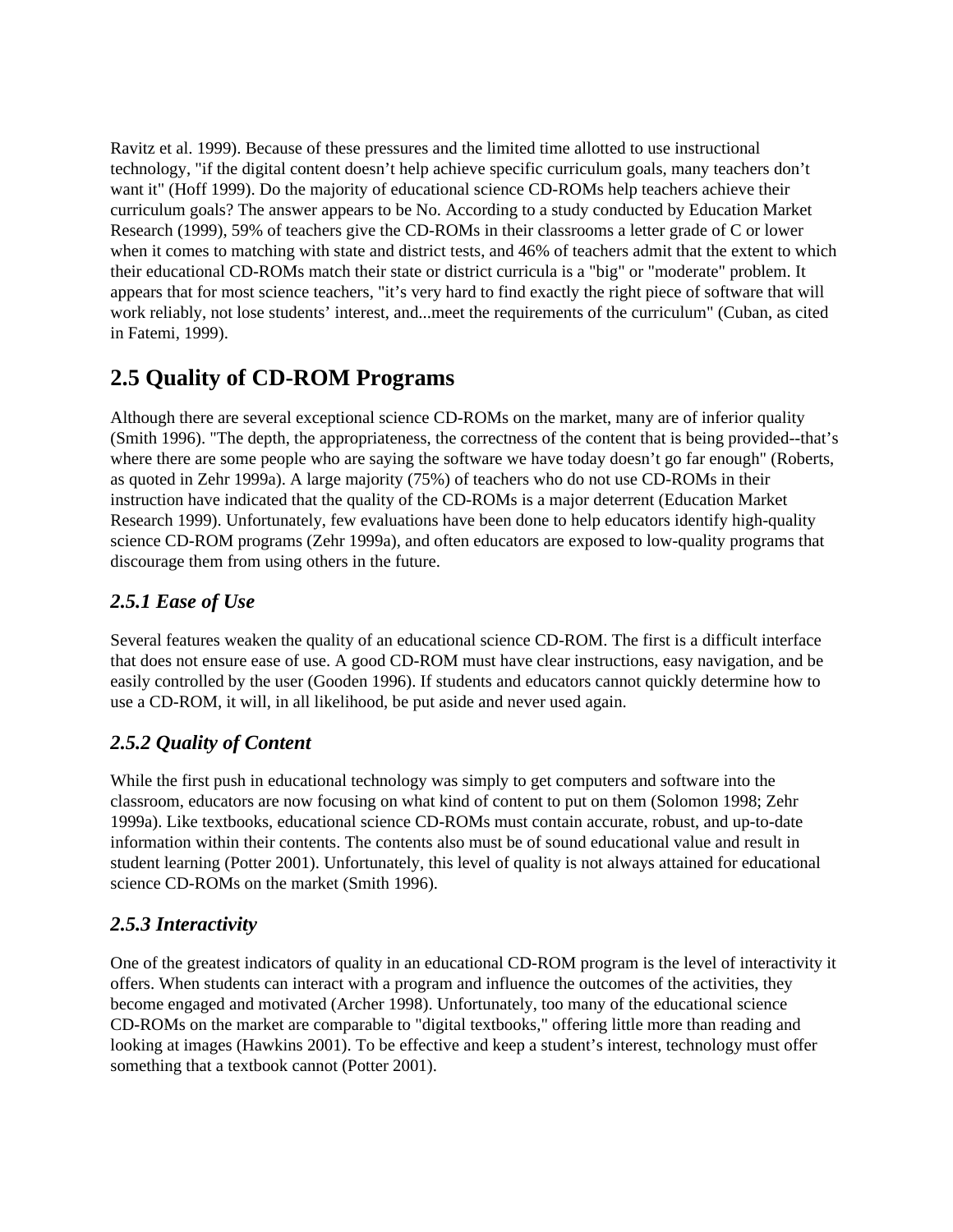Ravitz et al. 1999). Because of these pressures and the limited time allotted to use instructional technology, "if the digital content doesn't help achieve specific curriculum goals, many teachers don't want it" (Hoff 1999). Do the majority of educational science CD-ROMs help teachers achieve their curriculum goals? The answer appears to be No. According to a study conducted by Education Market Research (1999), 59% of teachers give the CD-ROMs in their classrooms a letter grade of C or lower when it comes to matching with state and district tests, and 46% of teachers admit that the extent to which their educational CD-ROMs match their state or district curricula is a "big" or "moderate" problem. It appears that for most science teachers, "it's very hard to find exactly the right piece of software that will work reliably, not lose students' interest, and...meet the requirements of the curriculum" (Cuban, as cited in Fatemi, 1999).

## **2.5 Quality of CD-ROM Programs**

Although there are several exceptional science CD-ROMs on the market, many are of inferior quality (Smith 1996). "The depth, the appropriateness, the correctness of the content that is being provided--that's where there are some people who are saying the software we have today doesn't go far enough" (Roberts, as quoted in Zehr 1999a). A large majority (75%) of teachers who do not use CD-ROMs in their instruction have indicated that the quality of the CD-ROMs is a major deterrent (Education Market Research 1999). Unfortunately, few evaluations have been done to help educators identify high-quality science CD-ROM programs (Zehr 1999a), and often educators are exposed to low-quality programs that discourage them from using others in the future.

#### *2.5.1 Ease of Use*

Several features weaken the quality of an educational science CD-ROM. The first is a difficult interface that does not ensure ease of use. A good CD-ROM must have clear instructions, easy navigation, and be easily controlled by the user (Gooden 1996). If students and educators cannot quickly determine how to use a CD-ROM, it will, in all likelihood, be put aside and never used again.

#### *2.5.2 Quality of Content*

While the first push in educational technology was simply to get computers and software into the classroom, educators are now focusing on what kind of content to put on them (Solomon 1998; Zehr 1999a). Like textbooks, educational science CD-ROMs must contain accurate, robust, and up-to-date information within their contents. The contents also must be of sound educational value and result in student learning (Potter 2001). Unfortunately, this level of quality is not always attained for educational science CD-ROMs on the market (Smith 1996).

#### *2.5.3 Interactivity*

One of the greatest indicators of quality in an educational CD-ROM program is the level of interactivity it offers. When students can interact with a program and influence the outcomes of the activities, they become engaged and motivated (Archer 1998). Unfortunately, too many of the educational science CD-ROMs on the market are comparable to "digital textbooks," offering little more than reading and looking at images (Hawkins 2001). To be effective and keep a student's interest, technology must offer something that a textbook cannot (Potter 2001).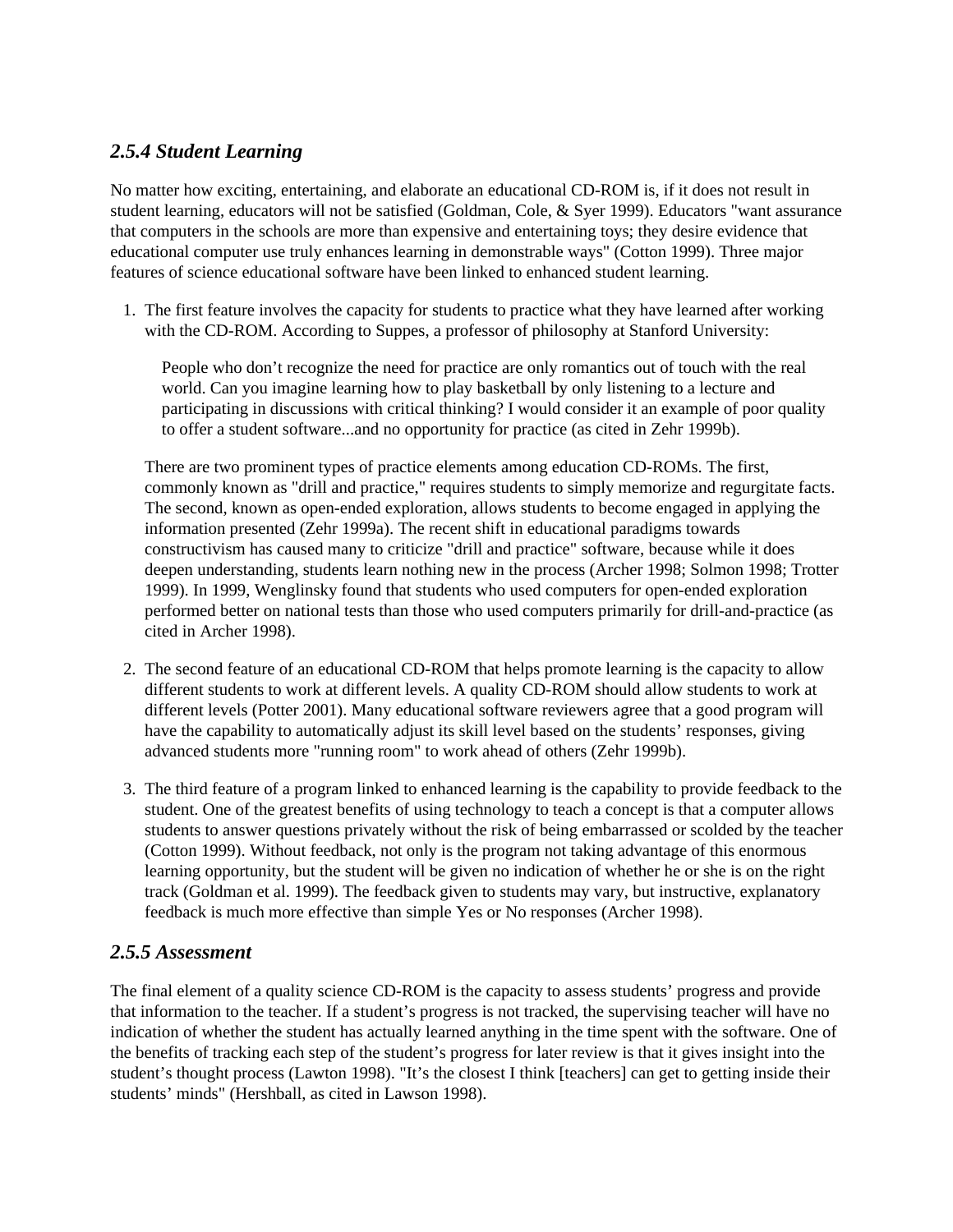#### *2.5.4 Student Learning*

No matter how exciting, entertaining, and elaborate an educational CD-ROM is, if it does not result in student learning, educators will not be satisfied (Goldman, Cole, & Syer 1999). Educators "want assurance that computers in the schools are more than expensive and entertaining toys; they desire evidence that educational computer use truly enhances learning in demonstrable ways" (Cotton 1999). Three major features of science educational software have been linked to enhanced student learning.

1. The first feature involves the capacity for students to practice what they have learned after working with the CD-ROM. According to Suppes, a professor of philosophy at Stanford University:

People who don't recognize the need for practice are only romantics out of touch with the real world. Can you imagine learning how to play basketball by only listening to a lecture and participating in discussions with critical thinking? I would consider it an example of poor quality to offer a student software...and no opportunity for practice (as cited in Zehr 1999b).

There are two prominent types of practice elements among education CD-ROMs. The first, commonly known as "drill and practice," requires students to simply memorize and regurgitate facts. The second, known as open-ended exploration, allows students to become engaged in applying the information presented (Zehr 1999a). The recent shift in educational paradigms towards constructivism has caused many to criticize "drill and practice" software, because while it does deepen understanding, students learn nothing new in the process (Archer 1998; Solmon 1998; Trotter 1999). In 1999, Wenglinsky found that students who used computers for open-ended exploration performed better on national tests than those who used computers primarily for drill-and-practice (as cited in Archer 1998).

- 2. The second feature of an educational CD-ROM that helps promote learning is the capacity to allow different students to work at different levels. A quality CD-ROM should allow students to work at different levels (Potter 2001). Many educational software reviewers agree that a good program will have the capability to automatically adjust its skill level based on the students' responses, giving advanced students more "running room" to work ahead of others (Zehr 1999b).
- 3. The third feature of a program linked to enhanced learning is the capability to provide feedback to the student. One of the greatest benefits of using technology to teach a concept is that a computer allows students to answer questions privately without the risk of being embarrassed or scolded by the teacher (Cotton 1999). Without feedback, not only is the program not taking advantage of this enormous learning opportunity, but the student will be given no indication of whether he or she is on the right track (Goldman et al. 1999). The feedback given to students may vary, but instructive, explanatory feedback is much more effective than simple Yes or No responses (Archer 1998).

#### *2.5.5 Assessment*

The final element of a quality science CD-ROM is the capacity to assess students' progress and provide that information to the teacher. If a student's progress is not tracked, the supervising teacher will have no indication of whether the student has actually learned anything in the time spent with the software. One of the benefits of tracking each step of the student's progress for later review is that it gives insight into the student's thought process (Lawton 1998). "It's the closest I think [teachers] can get to getting inside their students' minds" (Hershball, as cited in Lawson 1998).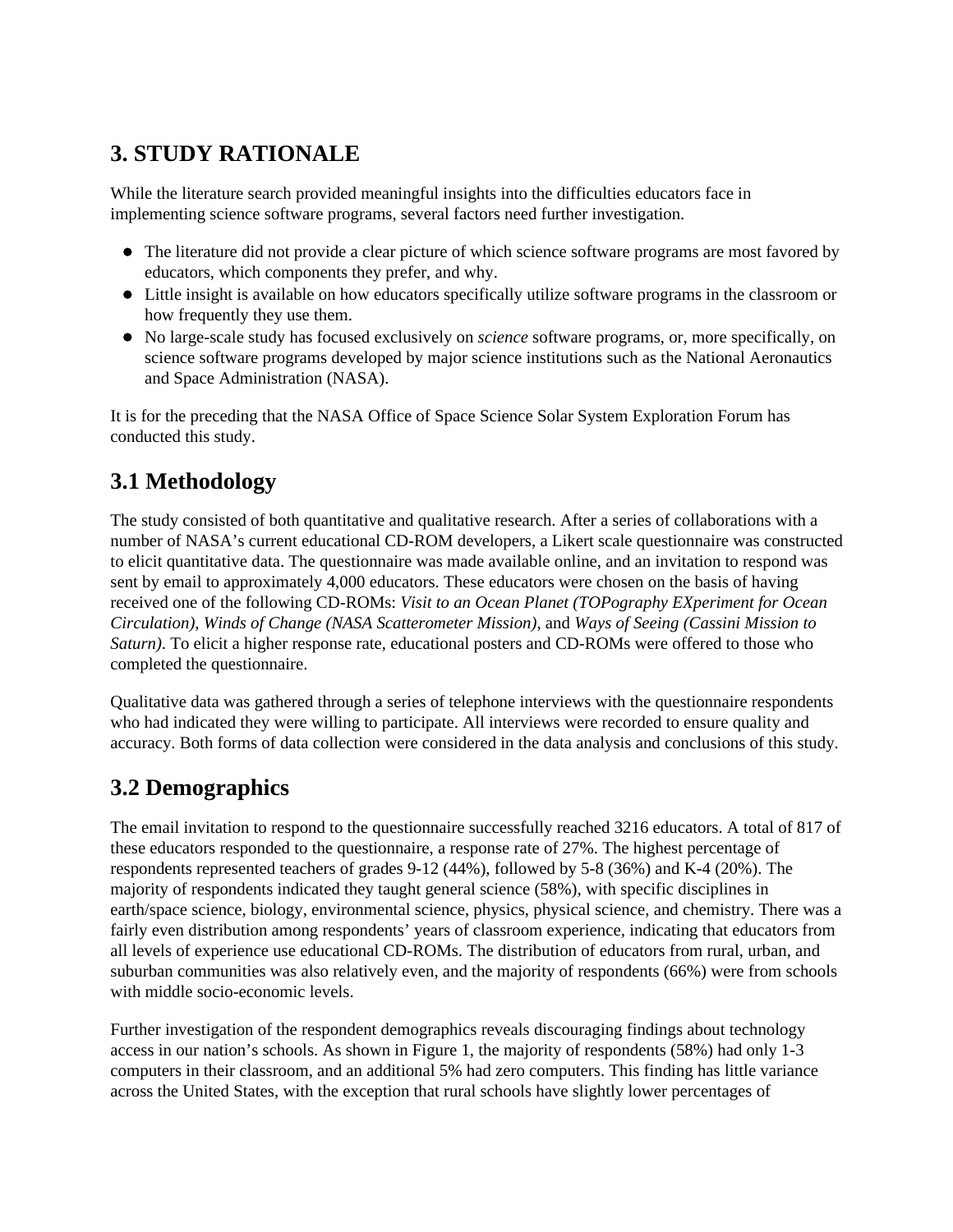## **3. STUDY RATIONALE**

While the literature search provided meaningful insights into the difficulties educators face in implementing science software programs, several factors need further investigation.

- The literature did not provide a clear picture of which science software programs are most favored by educators, which components they prefer, and why.
- Little insight is available on how educators specifically utilize software programs in the classroom or how frequently they use them.
- No large-scale study has focused exclusively on *science* software programs, or, more specifically, on science software programs developed by major science institutions such as the National Aeronautics and Space Administration (NASA).

It is for the preceding that the NASA Office of Space Science Solar System Exploration Forum has conducted this study.

## **3.1 Methodology**

The study consisted of both quantitative and qualitative research. After a series of collaborations with a number of NASA's current educational CD-ROM developers, a Likert scale questionnaire was constructed to elicit quantitative data. The questionnaire was made available online, and an invitation to respond was sent by email to approximately 4,000 educators. These educators were chosen on the basis of having received one of the following CD-ROMs: *Visit to an Ocean Planet (TOPography EXperiment for Ocean Circulation)*, *Winds of Change (NASA Scatterometer Mission)*, and *Ways of Seeing (Cassini Mission to Saturn)*. To elicit a higher response rate, educational posters and CD-ROMs were offered to those who completed the questionnaire.

Qualitative data was gathered through a series of telephone interviews with the questionnaire respondents who had indicated they were willing to participate. All interviews were recorded to ensure quality and accuracy. Both forms of data collection were considered in the data analysis and conclusions of this study.

## **3.2 Demographics**

The email invitation to respond to the questionnaire successfully reached 3216 educators. A total of 817 of these educators responded to the questionnaire, a response rate of 27%. The highest percentage of respondents represented teachers of grades 9-12 (44%), followed by 5-8 (36%) and K-4 (20%). The majority of respondents indicated they taught general science (58%), with specific disciplines in earth/space science, biology, environmental science, physics, physical science, and chemistry. There was a fairly even distribution among respondents' years of classroom experience, indicating that educators from all levels of experience use educational CD-ROMs. The distribution of educators from rural, urban, and suburban communities was also relatively even, and the majority of respondents (66%) were from schools with middle socio-economic levels.

Further investigation of the respondent demographics reveals discouraging findings about technology access in our nation's schools. As shown in Figure 1, the majority of respondents (58%) had only 1-3 computers in their classroom, and an additional 5% had zero computers. This finding has little variance across the United States, with the exception that rural schools have slightly lower percentages of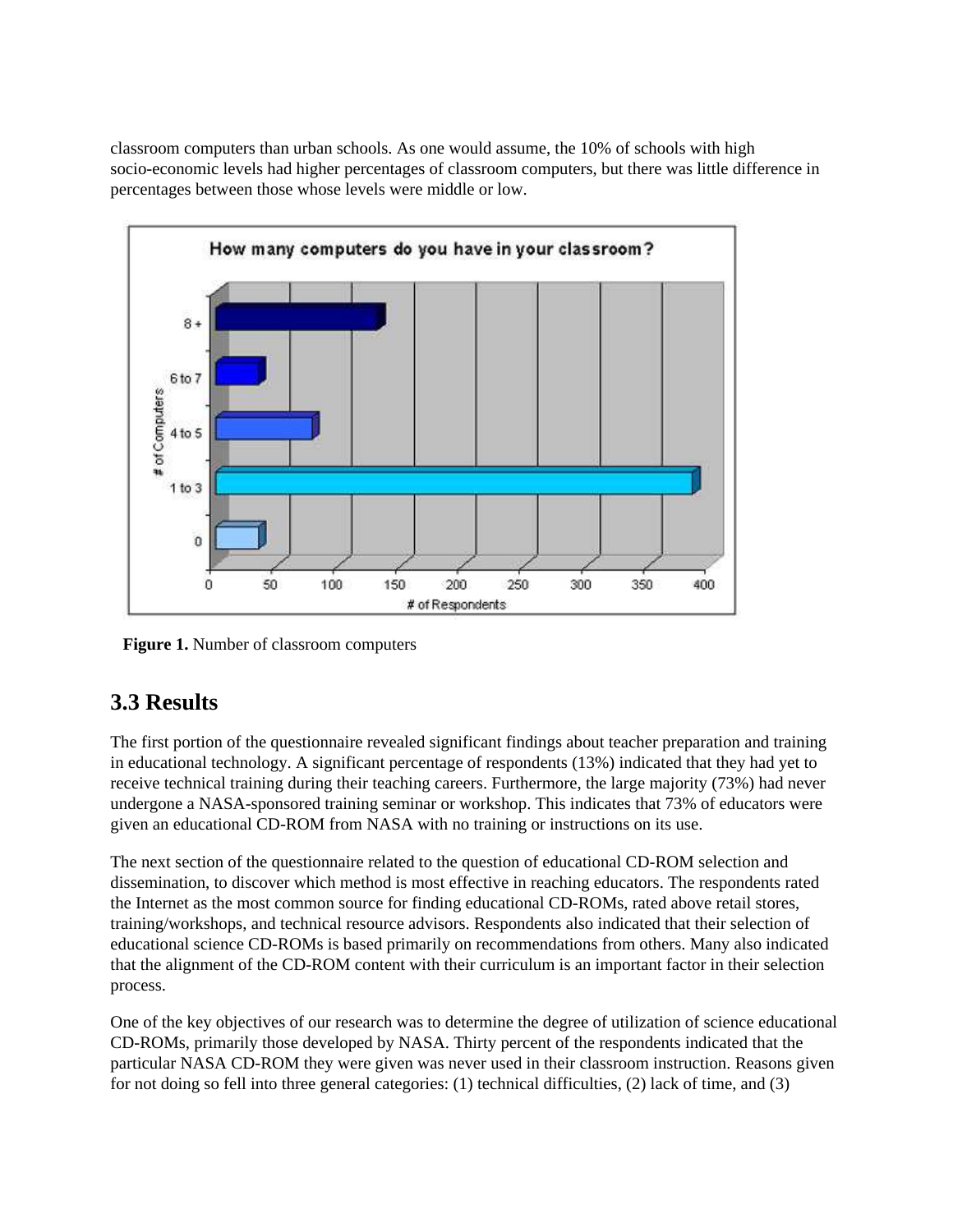classroom computers than urban schools. As one would assume, the 10% of schools with high socio-economic levels had higher percentages of classroom computers, but there was little difference in percentages between those whose levels were middle or low.



**Figure 1.** Number of classroom computers

## **3.3 Results**

The first portion of the questionnaire revealed significant findings about teacher preparation and training in educational technology. A significant percentage of respondents (13%) indicated that they had yet to receive technical training during their teaching careers. Furthermore, the large majority (73%) had never undergone a NASA-sponsored training seminar or workshop. This indicates that 73% of educators were given an educational CD-ROM from NASA with no training or instructions on its use.

The next section of the questionnaire related to the question of educational CD-ROM selection and dissemination, to discover which method is most effective in reaching educators. The respondents rated the Internet as the most common source for finding educational CD-ROMs, rated above retail stores, training/workshops, and technical resource advisors. Respondents also indicated that their selection of educational science CD-ROMs is based primarily on recommendations from others. Many also indicated that the alignment of the CD-ROM content with their curriculum is an important factor in their selection process.

One of the key objectives of our research was to determine the degree of utilization of science educational CD-ROMs, primarily those developed by NASA. Thirty percent of the respondents indicated that the particular NASA CD-ROM they were given was never used in their classroom instruction. Reasons given for not doing so fell into three general categories: (1) technical difficulties, (2) lack of time, and (3)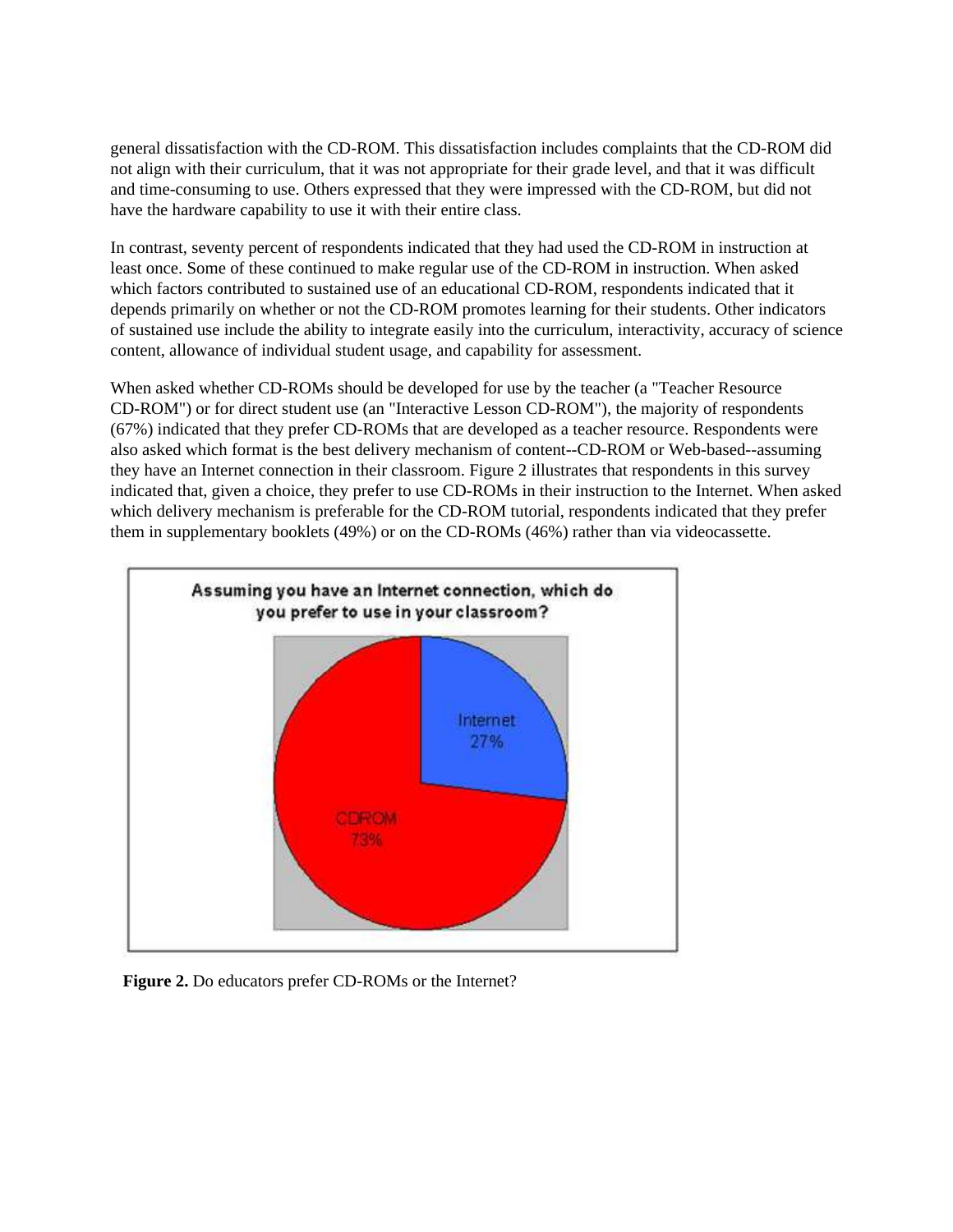general dissatisfaction with the CD-ROM. This dissatisfaction includes complaints that the CD-ROM did not align with their curriculum, that it was not appropriate for their grade level, and that it was difficult and time-consuming to use. Others expressed that they were impressed with the CD-ROM, but did not have the hardware capability to use it with their entire class.

In contrast, seventy percent of respondents indicated that they had used the CD-ROM in instruction at least once. Some of these continued to make regular use of the CD-ROM in instruction. When asked which factors contributed to sustained use of an educational CD-ROM, respondents indicated that it depends primarily on whether or not the CD-ROM promotes learning for their students. Other indicators of sustained use include the ability to integrate easily into the curriculum, interactivity, accuracy of science content, allowance of individual student usage, and capability for assessment.

When asked whether CD-ROMs should be developed for use by the teacher (a "Teacher Resource CD-ROM") or for direct student use (an "Interactive Lesson CD-ROM"), the majority of respondents (67%) indicated that they prefer CD-ROMs that are developed as a teacher resource. Respondents were also asked which format is the best delivery mechanism of content--CD-ROM or Web-based--assuming they have an Internet connection in their classroom. Figure 2 illustrates that respondents in this survey indicated that, given a choice, they prefer to use CD-ROMs in their instruction to the Internet. When asked which delivery mechanism is preferable for the CD-ROM tutorial, respondents indicated that they prefer them in supplementary booklets (49%) or on the CD-ROMs (46%) rather than via videocassette.



**Figure 2.** Do educators prefer CD-ROMs or the Internet?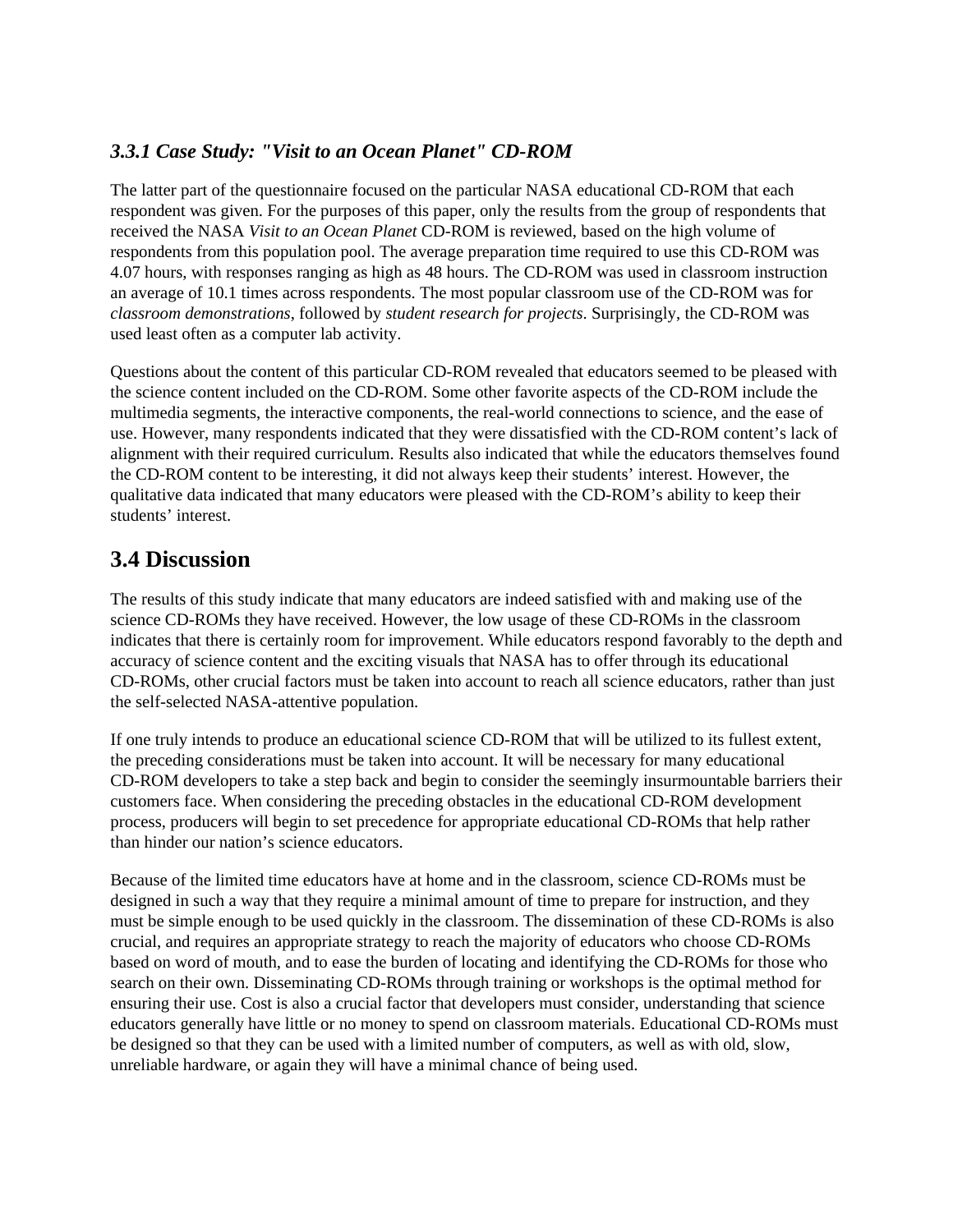#### *3.3.1 Case Study: "Visit to an Ocean Planet" CD-ROM*

The latter part of the questionnaire focused on the particular NASA educational CD-ROM that each respondent was given. For the purposes of this paper, only the results from the group of respondents that received the NASA *Visit to an Ocean Planet* CD-ROM is reviewed, based on the high volume of respondents from this population pool. The average preparation time required to use this CD-ROM was 4.07 hours, with responses ranging as high as 48 hours. The CD-ROM was used in classroom instruction an average of 10.1 times across respondents. The most popular classroom use of the CD-ROM was for *classroom demonstrations*, followed by *student research for projects*. Surprisingly, the CD-ROM was used least often as a computer lab activity.

Questions about the content of this particular CD-ROM revealed that educators seemed to be pleased with the science content included on the CD-ROM. Some other favorite aspects of the CD-ROM include the multimedia segments, the interactive components, the real-world connections to science, and the ease of use. However, many respondents indicated that they were dissatisfied with the CD-ROM content's lack of alignment with their required curriculum. Results also indicated that while the educators themselves found the CD-ROM content to be interesting, it did not always keep their students' interest. However, the qualitative data indicated that many educators were pleased with the CD-ROM's ability to keep their students' interest.

## **3.4 Discussion**

The results of this study indicate that many educators are indeed satisfied with and making use of the science CD-ROMs they have received. However, the low usage of these CD-ROMs in the classroom indicates that there is certainly room for improvement. While educators respond favorably to the depth and accuracy of science content and the exciting visuals that NASA has to offer through its educational CD-ROMs, other crucial factors must be taken into account to reach all science educators, rather than just the self-selected NASA-attentive population.

If one truly intends to produce an educational science CD-ROM that will be utilized to its fullest extent, the preceding considerations must be taken into account. It will be necessary for many educational CD-ROM developers to take a step back and begin to consider the seemingly insurmountable barriers their customers face. When considering the preceding obstacles in the educational CD-ROM development process, producers will begin to set precedence for appropriate educational CD-ROMs that help rather than hinder our nation's science educators.

Because of the limited time educators have at home and in the classroom, science CD-ROMs must be designed in such a way that they require a minimal amount of time to prepare for instruction, and they must be simple enough to be used quickly in the classroom. The dissemination of these CD-ROMs is also crucial, and requires an appropriate strategy to reach the majority of educators who choose CD-ROMs based on word of mouth, and to ease the burden of locating and identifying the CD-ROMs for those who search on their own. Disseminating CD-ROMs through training or workshops is the optimal method for ensuring their use. Cost is also a crucial factor that developers must consider, understanding that science educators generally have little or no money to spend on classroom materials. Educational CD-ROMs must be designed so that they can be used with a limited number of computers, as well as with old, slow, unreliable hardware, or again they will have a minimal chance of being used.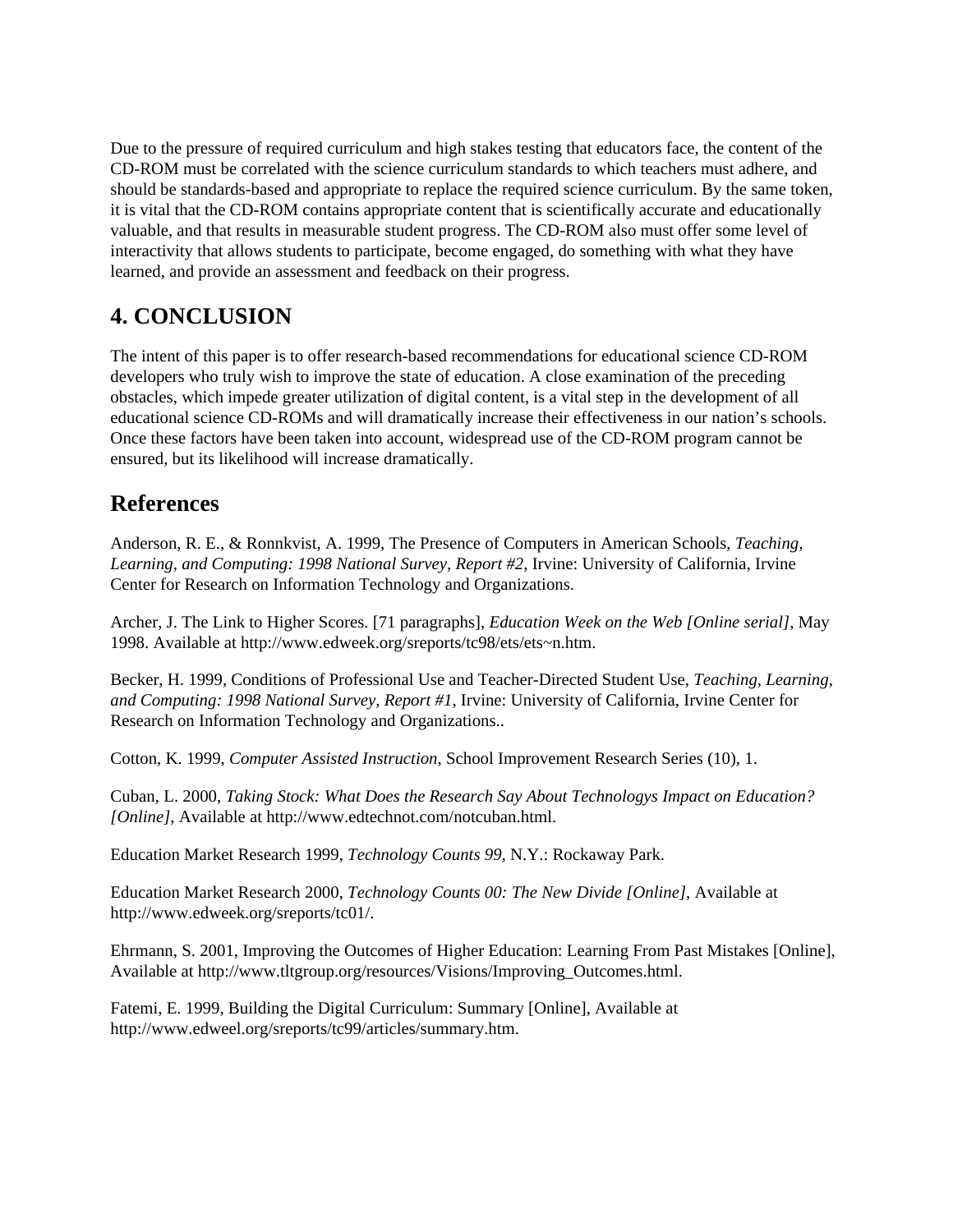Due to the pressure of required curriculum and high stakes testing that educators face, the content of the CD-ROM must be correlated with the science curriculum standards to which teachers must adhere, and should be standards-based and appropriate to replace the required science curriculum. By the same token, it is vital that the CD-ROM contains appropriate content that is scientifically accurate and educationally valuable, and that results in measurable student progress. The CD-ROM also must offer some level of interactivity that allows students to participate, become engaged, do something with what they have learned, and provide an assessment and feedback on their progress.

## **4. CONCLUSION**

The intent of this paper is to offer research-based recommendations for educational science CD-ROM developers who truly wish to improve the state of education. A close examination of the preceding obstacles, which impede greater utilization of digital content, is a vital step in the development of all educational science CD-ROMs and will dramatically increase their effectiveness in our nation's schools. Once these factors have been taken into account, widespread use of the CD-ROM program cannot be ensured, but its likelihood will increase dramatically.

## **References**

Anderson, R. E., & Ronnkvist, A. 1999, The Presence of Computers in American Schools, *Teaching, Learning, and Computing: 1998 National Survey, Report #2*, Irvine: University of California, Irvine Center for Research on Information Technology and Organizations.

Archer, J. The Link to Higher Scores. [71 paragraphs], *Education Week on the Web [Online serial]*, May 1998. Available at http://www.edweek.org/sreports/tc98/ets/ets~n.htm.

Becker, H. 1999, Conditions of Professional Use and Teacher-Directed Student Use, *Teaching, Learning, and Computing: 1998 National Survey, Report #1*, Irvine: University of California, Irvine Center for Research on Information Technology and Organizations..

Cotton, K. 1999, *Computer Assisted Instruction*, School Improvement Research Series (10), 1.

Cuban, L. 2000, *Taking Stock: What Does the Research Say About Technologys Impact on Education? [Online]*, Available at http://www.edtechnot.com/notcuban.html.

Education Market Research 1999, *Technology Counts 99*, N.Y.: Rockaway Park.

Education Market Research 2000, *Technology Counts 00: The New Divide [Online]*, Available at http://www.edweek.org/sreports/tc01/.

Ehrmann, S. 2001, Improving the Outcomes of Higher Education: Learning From Past Mistakes [Online], Available at http://www.tltgroup.org/resources/Visions/Improving\_Outcomes.html.

Fatemi, E. 1999, Building the Digital Curriculum: Summary [Online], Available at http://www.edweel.org/sreports/tc99/articles/summary.htm.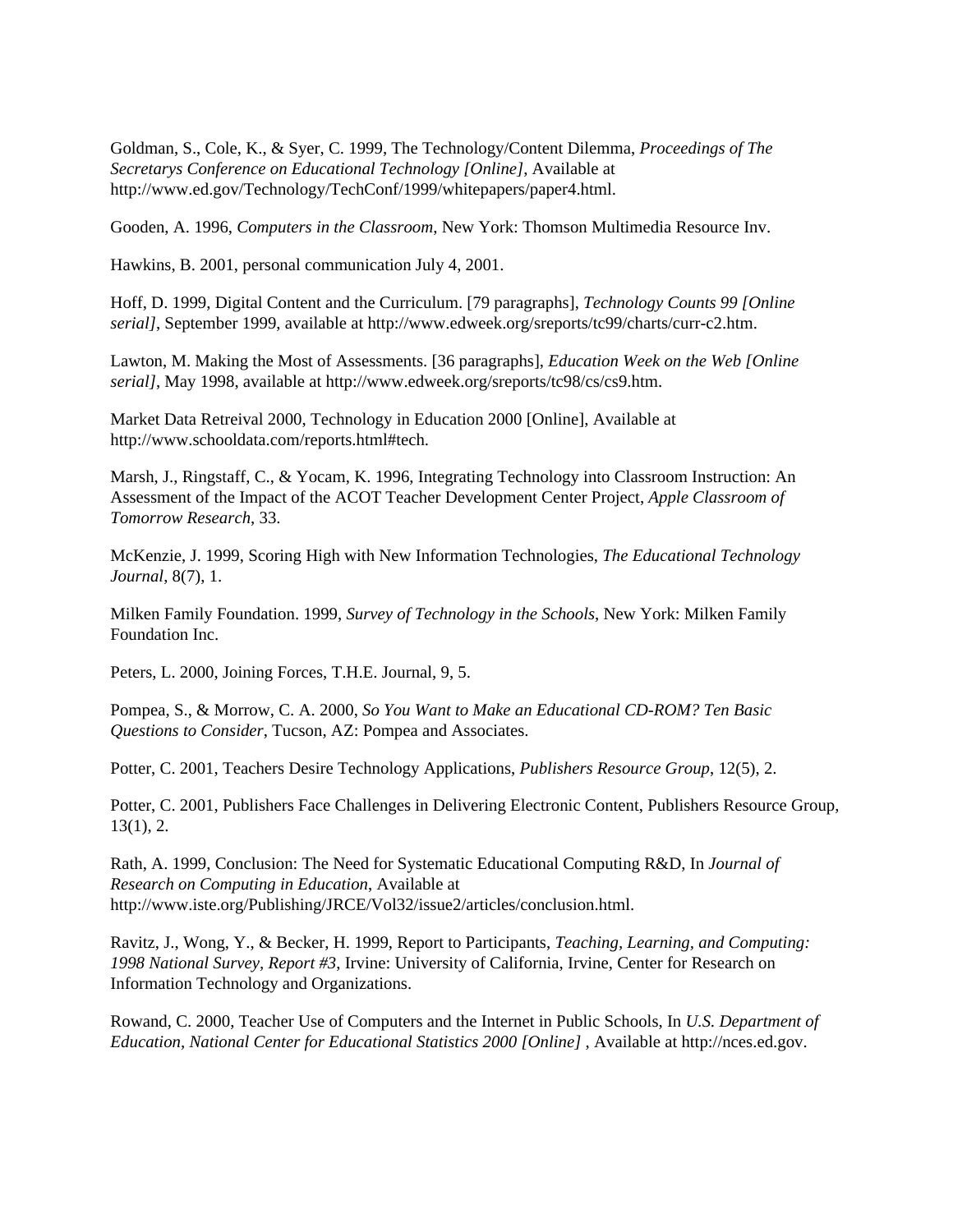Goldman, S., Cole, K., & Syer, C. 1999, The Technology/Content Dilemma, *Proceedings of The Secretarys Conference on Educational Technology [Online]*, Available at http://www.ed.gov/Technology/TechConf/1999/whitepapers/paper4.html.

Gooden, A. 1996, *Computers in the Classroom*, New York: Thomson Multimedia Resource Inv.

Hawkins, B. 2001, personal communication July 4, 2001.

Hoff, D. 1999, Digital Content and the Curriculum. [79 paragraphs], *Technology Counts 99 [Online serial]*, September 1999, available at http://www.edweek.org/sreports/tc99/charts/curr-c2.htm.

Lawton, M. Making the Most of Assessments. [36 paragraphs], *Education Week on the Web [Online serial]*, May 1998, available at http://www.edweek.org/sreports/tc98/cs/cs9.htm.

Market Data Retreival 2000, Technology in Education 2000 [Online], Available at http://www.schooldata.com/reports.html#tech.

Marsh, J., Ringstaff, C., & Yocam, K. 1996, Integrating Technology into Classroom Instruction: An Assessment of the Impact of the ACOT Teacher Development Center Project, *Apple Classroom of Tomorrow Research*, 33.

McKenzie, J. 1999, Scoring High with New Information Technologies, *The Educational Technology Journal*, 8(7), 1.

Milken Family Foundation. 1999, *Survey of Technology in the Schools*, New York: Milken Family Foundation Inc.

Peters, L. 2000, Joining Forces, T.H.E. Journal, 9, 5.

Pompea, S., & Morrow, C. A. 2000, *So You Want to Make an Educational CD-ROM? Ten Basic Questions to Consider*, Tucson, AZ: Pompea and Associates.

Potter, C. 2001, Teachers Desire Technology Applications, *Publishers Resource Group*, 12(5), 2.

Potter, C. 2001, Publishers Face Challenges in Delivering Electronic Content, Publishers Resource Group, 13(1), 2.

Rath, A. 1999, Conclusion: The Need for Systematic Educational Computing R&D, In *Journal of Research on Computing in Education*, Available at http://www.iste.org/Publishing/JRCE/Vol32/issue2/articles/conclusion.html.

Ravitz, J., Wong, Y., & Becker, H. 1999, Report to Participants, *Teaching, Learning, and Computing: 1998 National Survey, Report #3*, Irvine: University of California, Irvine, Center for Research on Information Technology and Organizations.

Rowand, C. 2000, Teacher Use of Computers and the Internet in Public Schools, In *U.S. Department of Education, National Center for Educational Statistics 2000 [Online]* , Available at http://nces.ed.gov.